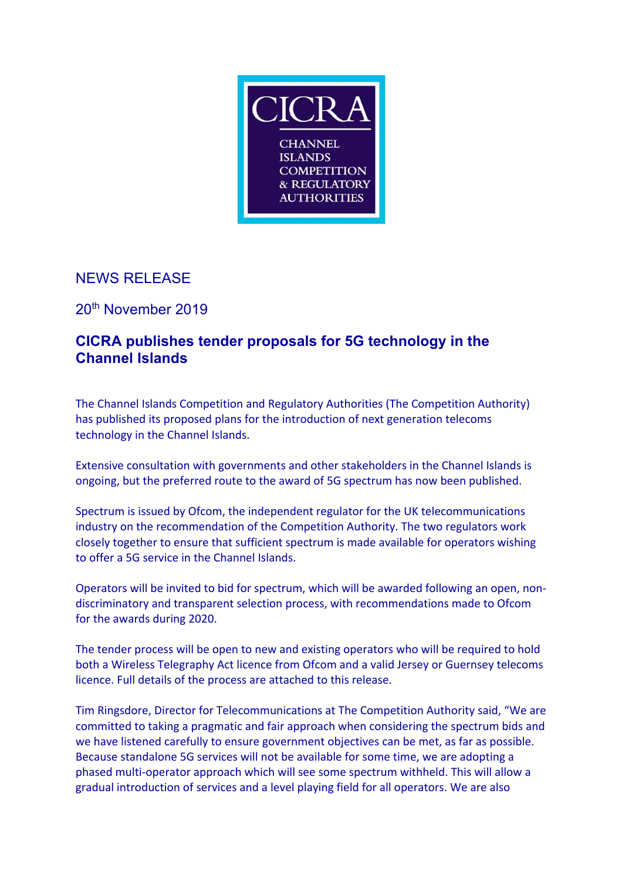

## NEWS RELEASE

20th November 2019

## **CICRA publishes tender proposals for 5G technology in the Channel Islands**

The Channel Islands Competition and Regulatory Authorities (The Competition Authority) has published its proposed plans for the introduction of next generation telecoms technology in the Channel Islands.

Extensive consultation with governments and other stakeholders in the Channel Islands is ongoing, but the preferred route to the award of 5G spectrum has now been published.

Spectrum is issued by Ofcom, the independent regulator for the UK telecommunications industry on the recommendation of the Competition Authority. The two regulators work closely together to ensure that sufficient spectrum is made available for operators wishing to offer a 5G service in the Channel Islands.

Operators will be invited to bid for spectrum, which will be awarded following an open, nondiscriminatory and transparent selection process, with recommendations made to Ofcom for the awards during 2020.

The tender process will be open to new and existing operators who will be required to hold both a Wireless Telegraphy Act licence from Ofcom and a valid Jersey or Guernsey telecoms licence. Full details of the process are attached to this release.

Tim Ringsdore, Director for Telecommunications at The Competition Authority said, "We are committed to taking a pragmatic and fair approach when considering the spectrum bids and we have listened carefully to ensure government objectives can be met, as far as possible. Because standalone 5G services will not be available for some time, we are adopting a phased multi-operator approach which will see some spectrum withheld. This will allow a gradual introduction of services and a level playing field for all operators. We are also